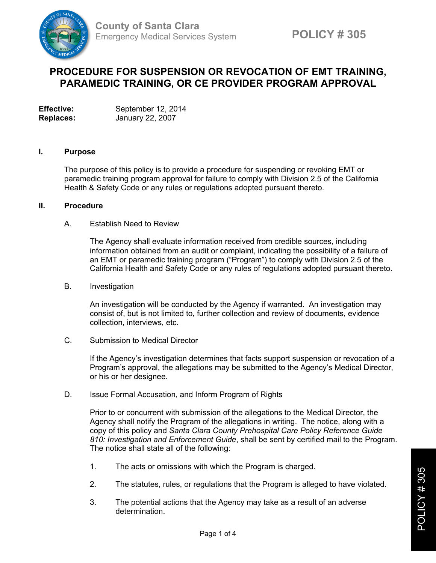

## **PROCEDURE FOR SUSPENSION OR REVOCATION OF EMT TRAINING, PARAMEDIC TRAINING, OR CE PROVIDER PROGRAM APPROVAL**

**Effective:** September 12, 2014 **Replaces:** January 22, 2007

## **I. Purpose**

The purpose of this policy is to provide a procedure for suspending or revoking EMT or paramedic training program approval for failure to comply with Division 2.5 of the California Health & Safety Code or any rules or regulations adopted pursuant thereto.

## **II. Procedure**

## A. Establish Need to Review

The Agency shall evaluate information received from credible sources, including information obtained from an audit or complaint, indicating the possibility of a failure of an EMT or paramedic training program ("Program") to comply with Division 2.5 of the California Health and Safety Code or any rules of regulations adopted pursuant thereto.

B. Investigation

An investigation will be conducted by the Agency if warranted. An investigation may consist of, but is not limited to, further collection and review of documents, evidence collection, interviews, etc.

C. Submission to Medical Director

If the Agency's investigation determines that facts support suspension or revocation of a Program's approval, the allegations may be submitted to the Agency's Medical Director, or his or her designee.

D. Issue Formal Accusation, and Inform Program of Rights

Prior to or concurrent with submission of the allegations to the Medical Director, the Agency shall notify the Program of the allegations in writing. The notice, along with a copy of this policy and *Santa Clara County Prehospital Care Policy Reference Guide 810: Investigation and Enforcement Guide*, shall be sent by certified mail to the Program. The notice shall state all of the following:

- 1. The acts or omissions with which the Program is charged.
- 2. The statutes, rules, or regulations that the Program is alleged to have violated.
- 3. The potential actions that the Agency may take as a result of an adverse determination.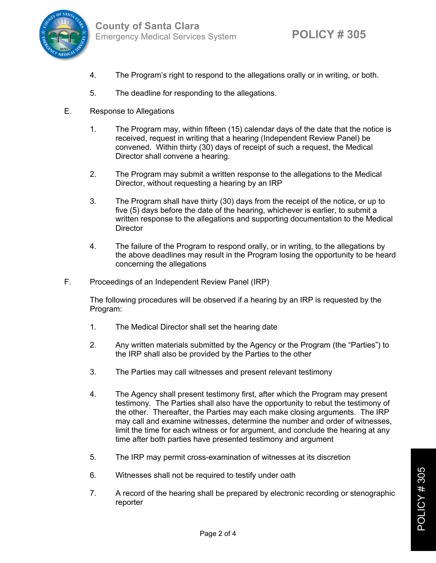

- 4. The Program's right to respond to the allegations orally or in writing, or both.
- 5. The deadline for responding to the allegations.
- E. Response to Allegations
	- 1. The Program may, within fifteen (15) calendar days of the date that the notice is received, request in writing that a hearing (Independent Review Panel) be convened. Within thirty (30) days of receipt of such a request, the Medical Director shall convene a hearing.
	- 2. The Program may submit a written response to the allegations to the Medical Director, without requesting a hearing by an IRP
	- 3. The Program shall have thirty (30) days from the receipt of the notice, or up to five (5) days before the date of the hearing, whichever is earlier, to submit a written response to the allegations and supporting documentation to the Medical **Director**
	- 4. The failure of the Program to respond orally, or in writing, to the allegations by the above deadlines may result in the Program losing the opportunity to be heard concerning the allegations
- F. Proceedings of an Independent Review Panel (IRP)

The following procedures will be observed if a hearing by an IRP is requested by the Program:

- 1. The Medical Director shall set the hearing date
- 2. Any written materials submitted by the Agency or the Program (the "Parties") to the IRP shall also be provided by the Parties to the other
- 3. The Parties may call witnesses and present relevant testimony
- 4. The Agency shall present testimony first, after which the Program may present testimony. The Parties shall also have the opportunity to rebut the testimony of the other. Thereafter, the Parties may each make closing arguments. The IRP may call and examine witnesses, determine the number and order of witnesses, limit the time for each witness or for argument, and conclude the hearing at any time after both parties have presented testimony and argument
- 5. The IRP may permit cross-examination of witnesses at its discretion
- 6. Witnesses shall not be required to testify under oath
- 7. A record of the hearing shall be prepared by electronic recording or stenographic reporter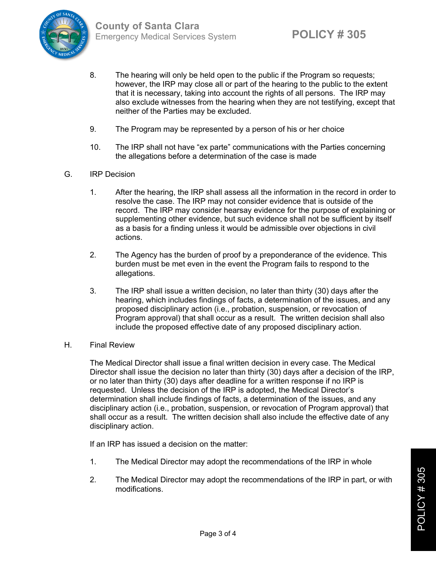

- 8. The hearing will only be held open to the public if the Program so requests; however, the IRP may close all or part of the hearing to the public to the extent that it is necessary, taking into account the rights of all persons. The IRP may also exclude witnesses from the hearing when they are not testifying, except that neither of the Parties may be excluded.
- 9. The Program may be represented by a person of his or her choice
- 10. The IRP shall not have "ex parte" communications with the Parties concerning the allegations before a determination of the case is made
- G. IRP Decision
	- 1. After the hearing, the IRP shall assess all the information in the record in order to resolve the case. The IRP may not consider evidence that is outside of the record. The IRP may consider hearsay evidence for the purpose of explaining or supplementing other evidence, but such evidence shall not be sufficient by itself as a basis for a finding unless it would be admissible over objections in civil actions.
	- 2. The Agency has the burden of proof by a preponderance of the evidence. This burden must be met even in the event the Program fails to respond to the allegations.
	- 3. The IRP shall issue a written decision, no later than thirty (30) days after the hearing, which includes findings of facts, a determination of the issues, and any proposed disciplinary action (i.e., probation, suspension, or revocation of Program approval) that shall occur as a result. The written decision shall also include the proposed effective date of any proposed disciplinary action.
- H. Final Review

The Medical Director shall issue a final written decision in every case. The Medical Director shall issue the decision no later than thirty (30) days after a decision of the IRP, or no later than thirty (30) days after deadline for a written response if no IRP is requested. Unless the decision of the IRP is adopted, the Medical Director's determination shall include findings of facts, a determination of the issues, and any disciplinary action (i.e., probation, suspension, or revocation of Program approval) that shall occur as a result. The written decision shall also include the effective date of any disciplinary action.

If an IRP has issued a decision on the matter:

- 1. The Medical Director may adopt the recommendations of the IRP in whole
- 2. The Medical Director may adopt the recommendations of the IRP in part, or with modifications.